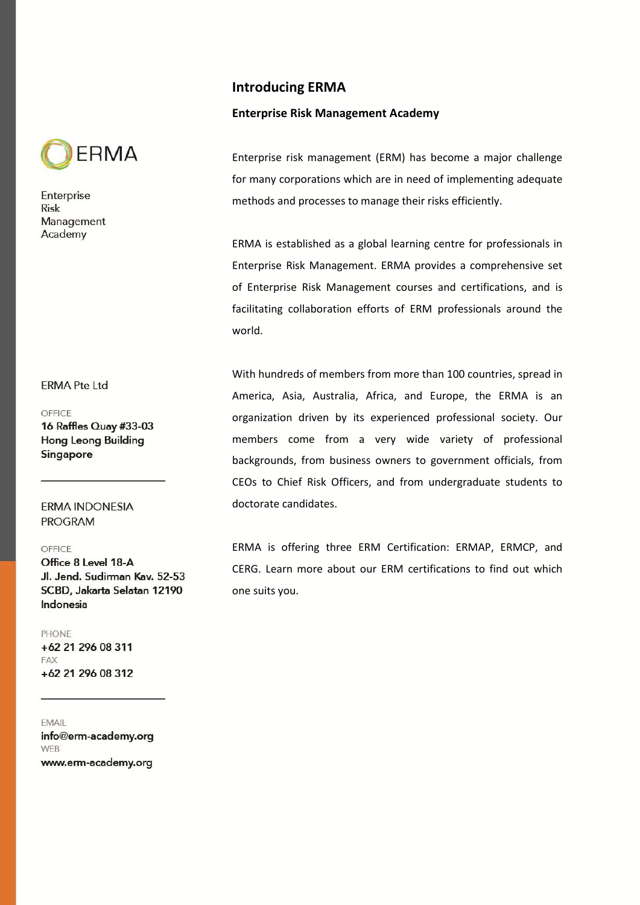

## **ERMA Pte Ltd**

OFFICE

16 Raffles Quay #33-03 **Hong Leong Building** Singapore

**ERMA INDONESIA PROGRAM** 

### OFFICE

Office 8 Level 18-A Jl. Jend. Sudirman Kav. 52-53 SCBD, Jakarta Selatan 12190 Indonesia

#### **PHONE**

+62 21 296 08 311 FAX +62 21 296 08 312

EMAIL info@erm-academy.org **WEB** 

www.erm-academy.org

# **Introducing ERMA**

## **Enterprise Risk Management Academy**

Enterprise risk management (ERM) has become a major challenge for many corporations which are in need of implementing adequate methods and processes to manage their risks efficiently.

ERMA is established as a global learning centre for professionals in Enterprise Risk Management. ERMA provides a comprehensive set of Enterprise Risk Management courses and certifications, and is facilitating collaboration efforts of ERM professionals around the world.

With hundreds of members from more than 100 countries, spread in America, Asia, Australia, Africa, and Europe, the ERMA is an organization driven by its experienced professional society. Our members come from a very wide variety of professional backgrounds, from business owners to government officials, from CEOs to Chief Risk Officers, and from undergraduate students to doctorate candidates.

ERMA is offering three ERM Certification: ERMAP, ERMCP, and CERG. Learn more about our ERM certifications to find out which one suits you.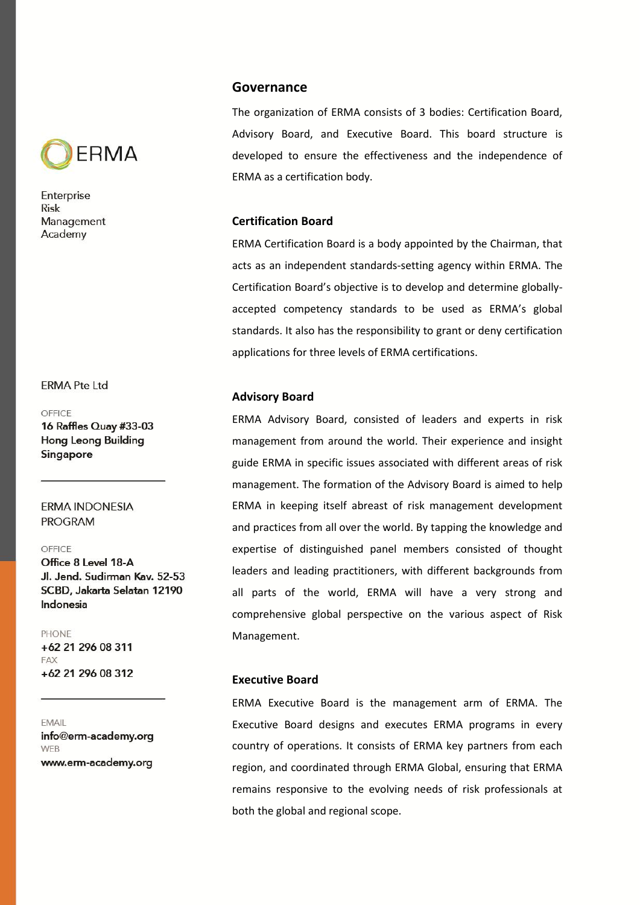

## **ERMA Pte Ltd**

#### OFFICE

16 Raffles Quay #33-03 **Hong Leong Building** Singapore

## **ERMA INDONESIA PROGRAM**

### OFFICE

Office 8 Level 18-A Jl. Jend. Sudirman Kav. 52-53 SCBD, Jakarta Selatan 12190 Indonesia

#### **PHONE**

+62 21 296 08 311 **FAX** +62 21 296 08 312

### **FMAIL** info@erm-academy.org **WEB**

www.erm-academy.org

# **Governance**

The organization of ERMA consists of 3 bodies: Certification Board, Advisory Board, and Executive Board. This board structure is developed to ensure the effectiveness and the independence of ERMA as a certification body.

## **Certification Board**

ERMA Certification Board is a body appointed by the Chairman, that acts as an independent standards-setting agency within ERMA. The Certification Board's objective is to develop and determine globallyaccepted competency standards to be used as ERMA's global standards. It also has the responsibility to grant or deny certification applications for three levels of ERMA certifications.

## **Advisory Board**

ERMA Advisory Board, consisted of leaders and experts in risk management from around the world. Their experience and insight guide ERMA in specific issues associated with different areas of risk management. The formation of the Advisory Board is aimed to help ERMA in keeping itself abreast of risk management development and practices from all over the world. By tapping the knowledge and expertise of distinguished panel members consisted of thought leaders and leading practitioners, with different backgrounds from all parts of the world, ERMA will have a very strong and comprehensive global perspective on the various aspect of Risk Management.

## **Executive Board**

ERMA Executive Board is the management arm of ERMA. The Executive Board designs and executes ERMA programs in every country of operations. It consists of ERMA key partners from each region, and coordinated through ERMA Global, ensuring that ERMA remains responsive to the evolving needs of risk professionals at both the global and regional scope.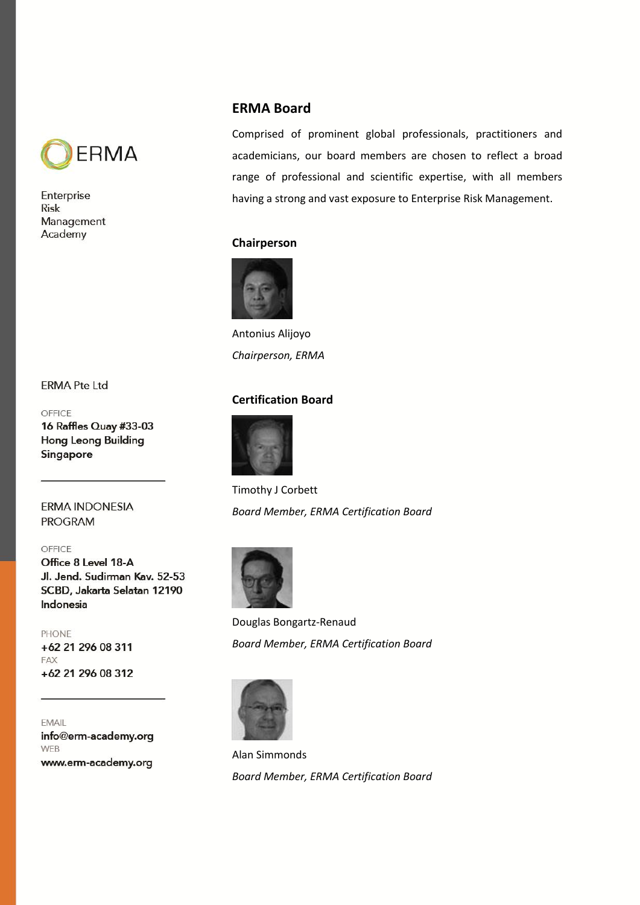

# **ERMA Board**

Comprised of prominent global professionals, practitioners and academicians, our board members are chosen to reflect a broad range of professional and scientific expertise, with all members having a strong and vast exposure to Enterprise Risk Management.

# **Chairperson**



Antonius Alijoyo *Chairperson, ERMA*

# **Certification Board**



Timothy J Corbett *Board Member, ERMA Certification Board*



Douglas Bongartz-Renaud *Board Member, ERMA Certification Board*



Alan Simmonds *Board Member, ERMA Certification Board*

## **ERMA Pte Ltd**

## OFFICE

16 Raffles Quay #33-03 **Hong Leong Building** Singapore

## **ERMA INDONESIA PROGRAM**

## OFFICE

Office 8 Level 18-A Jl. Jend. Sudirman Kav. 52-53 SCBD, Jakarta Selatan 12190 Indonesia

# **PHONE**

+62 21 296 08 311 FAX +62 21 296 08 312

EMAIL info@erm-academy.org **WEB** www.erm-academy.org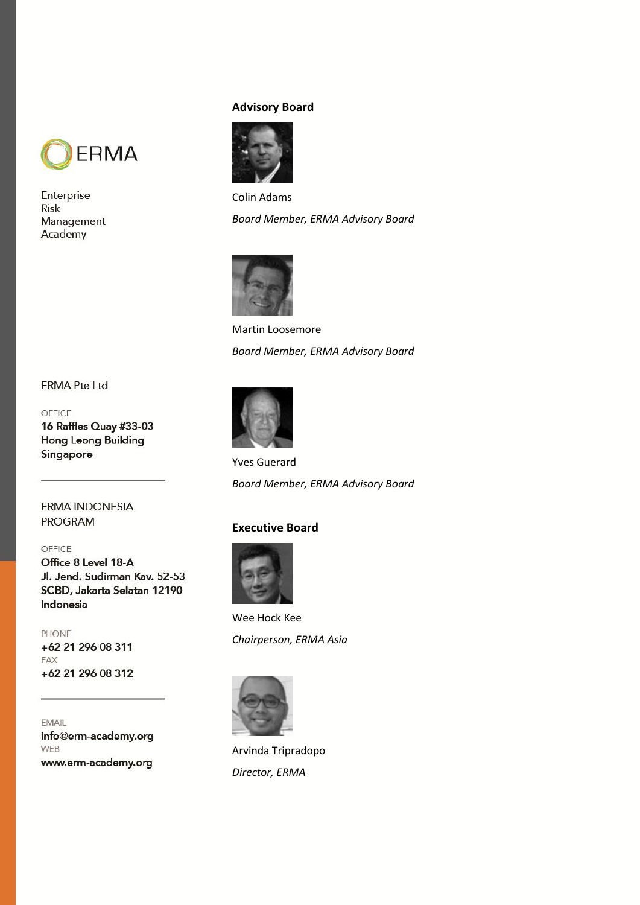

# **Advisory Board**



Colin Adams *Board Member, ERMA Advisory Board*



Martin Loosemore *Board Member, ERMA Advisory Board*

# **ERMA Pte Ltd**

### OFFICE

16 Raffles Quay #33-03 **Hong Leong Building** Singapore

**ERMA INDONESIA PROGRAM** 

## OFFICE

Office 8 Level 18-A Jl. Jend. Sudirman Kav. 52-53 SCBD, Jakarta Selatan 12190 Indonesia

### **PHONE**

+62 21 296 08 311 FAX +62 21 296 08 312

EMAIL info@erm-academy.org **WEB** www.erm-academy.org

Yves Guerard *Board Member, ERMA Advisory Board*

## **Executive Board**



Wee Hock Kee *Chairperson, ERMA Asia*



Arvinda Tripradopo *Director, ERMA*